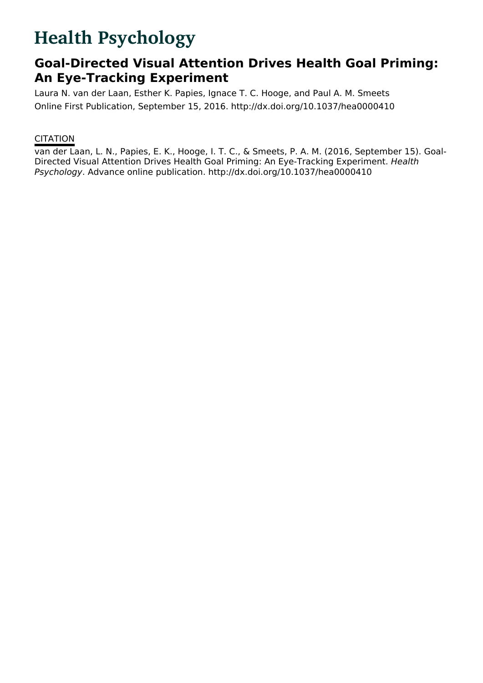# **Health Psychology**

## **Goal-Directed Visual Attention Drives Health Goal Priming: An Eye-Tracking Experiment**

Laura N. van der Laan, Esther K. Papies, Ignace T. C. Hooge, and Paul A. M. Smeets Online First Publication, September 15, 2016. http://dx.doi.org/10.1037/hea0000410

### **CITATION**

van der Laan, L. N., Papies, E. K., Hooge, I. T. C., & Smeets, P. A. M. (2016, September 15). Goal-Directed Visual Attention Drives Health Goal Priming: An Eye-Tracking Experiment. Health Psychology. Advance online publication. http://dx.doi.org/10.1037/hea0000410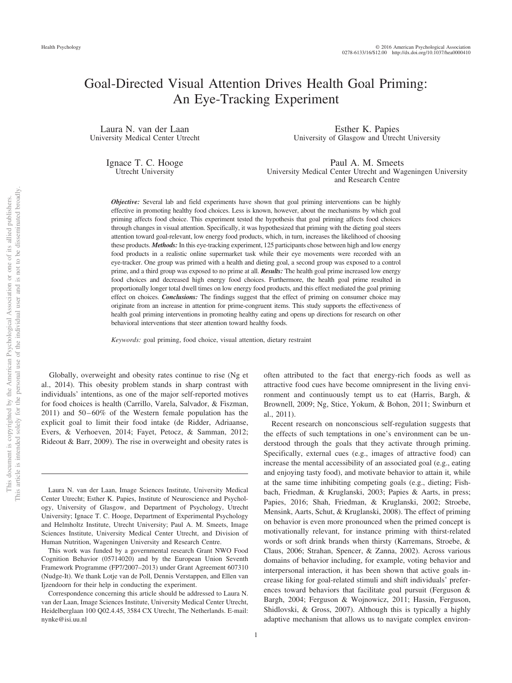### Goal-Directed Visual Attention Drives Health Goal Priming: An Eye-Tracking Experiment

Laura N. van der Laan University Medical Center Utrecht

Esther K. Papies University of Glasgow and Utrecht University

Ignace T. C. Hooge Utrecht University

Paul A. M. Smeets University Medical Center Utrecht and Wageningen University and Research Centre

*Objective:* Several lab and field experiments have shown that goal priming interventions can be highly effective in promoting healthy food choices. Less is known, however, about the mechanisms by which goal priming affects food choice. This experiment tested the hypothesis that goal priming affects food choices through changes in visual attention. Specifically, it was hypothesized that priming with the dieting goal steers attention toward goal-relevant, low energy food products, which, in turn, increases the likelihood of choosing these products. *Methods:* In this eye-tracking experiment, 125 participants chose between high and low energy food products in a realistic online supermarket task while their eye movements were recorded with an eye-tracker. One group was primed with a health and dieting goal, a second group was exposed to a control prime, and a third group was exposed to no prime at all. *Results:* The health goal prime increased low energy food choices and decreased high energy food choices. Furthermore, the health goal prime resulted in proportionally longer total dwell times on low energy food products, and this effect mediated the goal priming effect on choices. *Conclusions:* The findings suggest that the effect of priming on consumer choice may originate from an increase in attention for prime-congruent items. This study supports the effectiveness of health goal priming interventions in promoting healthy eating and opens up directions for research on other behavioral interventions that steer attention toward healthy foods.

*Keywords:* goal priming, food choice, visual attention, dietary restraint

Globally, overweight and obesity rates continue to rise (Ng et al., 2014). This obesity problem stands in sharp contrast with individuals' intentions, as one of the major self-reported motives for food choices is health (Carrillo, Varela, Salvador, & Fiszman,  $2011$ ) and  $50-60\%$  of the Western female population has the explicit goal to limit their food intake (de Ridder, Adriaanse, Evers, & Verhoeven, 2014; Fayet, Petocz, & Samman, 2012; Rideout & Barr, 2009). The rise in overweight and obesity rates is

Laura N. van der Laan, Image Sciences Institute, University Medical Center Utrecht; Esther K. Papies, Institute of Neuroscience and Psychology, University of Glasgow, and Department of Psychology, Utrecht University; Ignace T. C. Hooge, Department of Experimental Psychology and Helmholtz Institute, Utrecht University; Paul A. M. Smeets, Image Sciences Institute, University Medical Center Utrecht, and Division of Human Nutrition, Wageningen University and Research Centre.

This work was funded by a governmental research Grant NWO Food Cognition Behavior (05714020) and by the European Union Seventh Framework Programme (FP7/2007–2013) under Grant Agreement 607310 (Nudge-It). We thank Lotje van de Poll, Dennis Verstappen, and Ellen van Ijzendoorn for their help in conducting the experiment.

Correspondence concerning this article should be addressed to Laura N. van der Laan, Image Sciences Institute, University Medical Center Utrecht, Heidelberglaan 100 Q02.4.45, 3584 CX Utrecht, The Netherlands. E-mail: nynke@isi.uu.nl

often attributed to the fact that energy-rich foods as well as attractive food cues have become omnipresent in the living environment and continuously tempt us to eat (Harris, Bargh, & Brownell, 2009; Ng, Stice, Yokum, & Bohon, 2011; Swinburn et al., 2011).

Recent research on nonconscious self-regulation suggests that the effects of such temptations in one's environment can be understood through the goals that they activate through priming. Specifically, external cues (e.g., images of attractive food) can increase the mental accessibility of an associated goal (e.g., eating and enjoying tasty food), and motivate behavior to attain it, while at the same time inhibiting competing goals (e.g., dieting; Fishbach, Friedman, & Kruglanski, 2003; Papies & Aarts, in press; Papies, 2016; Shah, Friedman, & Kruglanski, 2002; Stroebe, Mensink, Aarts, Schut, & Kruglanski, 2008). The effect of priming on behavior is even more pronounced when the primed concept is motivationally relevant, for instance priming with thirst-related words or soft drink brands when thirsty (Karremans, Stroebe, & Claus, 2006; Strahan, Spencer, & Zanna, 2002). Across various domains of behavior including, for example, voting behavior and interpersonal interaction, it has been shown that active goals increase liking for goal-related stimuli and shift individuals' preferences toward behaviors that facilitate goal pursuit (Ferguson & Bargh, 2004; Ferguson & Wojnowicz, 2011; Hassin, Ferguson, Shidlovski, & Gross, 2007). Although this is typically a highly adaptive mechanism that allows us to navigate complex environ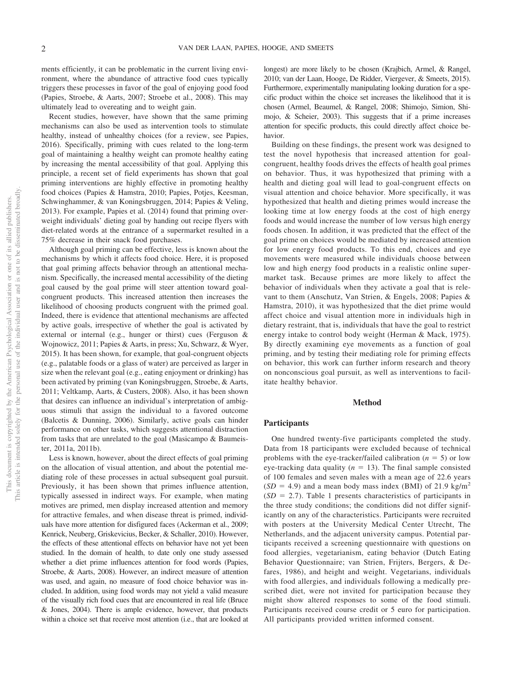ments efficiently, it can be problematic in the current living environment, where the abundance of attractive food cues typically triggers these processes in favor of the goal of enjoying good food (Papies, Stroebe, & Aarts, 2007; Stroebe et al., 2008). This may ultimately lead to overeating and to weight gain.

Recent studies, however, have shown that the same priming mechanisms can also be used as intervention tools to stimulate healthy, instead of unhealthy choices (for a review, see Papies, 2016). Specifically, priming with cues related to the long-term goal of maintaining a healthy weight can promote healthy eating by increasing the mental accessibility of that goal. Applying this principle, a recent set of field experiments has shown that goal priming interventions are highly effective in promoting healthy food choices (Papies & Hamstra, 2010; Papies, Potjes, Keesman, Schwinghammer, & van Koningsbruggen, 2014; Papies & Veling, 2013). For example, Papies et al. (2014) found that priming overweight individuals' dieting goal by handing out recipe flyers with diet-related words at the entrance of a supermarket resulted in a 75% decrease in their snack food purchases.

Although goal priming can be effective, less is known about the mechanisms by which it affects food choice. Here, it is proposed that goal priming affects behavior through an attentional mechanism. Specifically, the increased mental accessibility of the dieting goal caused by the goal prime will steer attention toward goalcongruent products. This increased attention then increases the likelihood of choosing products congruent with the primed goal. Indeed, there is evidence that attentional mechanisms are affected by active goals, irrespective of whether the goal is activated by external or internal (e.g., hunger or thirst) cues (Ferguson & Wojnowicz, 2011; Papies & Aarts, in press; Xu, Schwarz, & Wyer, 2015). It has been shown, for example, that goal-congruent objects (e.g., palatable foods or a glass of water) are perceived as larger in size when the relevant goal (e.g., eating enjoyment or drinking) has been activated by priming (van Koningsbruggen, Stroebe, & Aarts, 2011; Veltkamp, Aarts, & Custers, 2008). Also, it has been shown that desires can influence an individual's interpretation of ambiguous stimuli that assign the individual to a favored outcome (Balcetis & Dunning, 2006). Similarly, active goals can hinder performance on other tasks, which suggests attentional distraction from tasks that are unrelated to the goal (Masicampo & Baumeister, 2011a, 2011b).

Less is known, however, about the direct effects of goal priming on the allocation of visual attention, and about the potential mediating role of these processes in actual subsequent goal pursuit. Previously, it has been shown that primes influence attention, typically assessed in indirect ways. For example, when mating motives are primed, men display increased attention and memory for attractive females, and when disease threat is primed, individuals have more attention for disfigured faces (Ackerman et al., 2009; Kenrick, Neuberg, Griskevicius, Becker, & Schaller, 2010). However, the effects of these attentional effects on behavior have not yet been studied. In the domain of health, to date only one study assessed whether a diet prime influences attention for food words (Papies, Stroebe, & Aarts, 2008). However, an indirect measure of attention was used, and again, no measure of food choice behavior was included. In addition, using food words may not yield a valid measure of the visually rich food cues that are encountered in real life (Bruce & Jones, 2004). There is ample evidence, however, that products within a choice set that receive most attention (i.e., that are looked at

longest) are more likely to be chosen (Krajbich, Armel, & Rangel, 2010; van der Laan, Hooge, De Ridder, Viergever, & Smeets, 2015). Furthermore, experimentally manipulating looking duration for a specific product within the choice set increases the likelihood that it is chosen (Armel, Beaumel, & Rangel, 2008; Shimojo, Simion, Shimojo, & Scheier, 2003). This suggests that if a prime increases attention for specific products, this could directly affect choice behavior.

Building on these findings, the present work was designed to test the novel hypothesis that increased attention for goalcongruent, healthy foods drives the effects of health goal primes on behavior. Thus, it was hypothesized that priming with a health and dieting goal will lead to goal-congruent effects on visual attention and choice behavior. More specifically, it was hypothesized that health and dieting primes would increase the looking time at low energy foods at the cost of high energy foods and would increase the number of low versus high energy foods chosen. In addition, it was predicted that the effect of the goal prime on choices would be mediated by increased attention for low energy food products. To this end, choices and eye movements were measured while individuals choose between low and high energy food products in a realistic online supermarket task. Because primes are more likely to affect the behavior of individuals when they activate a goal that is relevant to them (Anschutz, Van Strien, & Engels, 2008; Papies & Hamstra, 2010), it was hypothesized that the diet prime would affect choice and visual attention more in individuals high in dietary restraint, that is, individuals that have the goal to restrict energy intake to control body weight (Herman & Mack, 1975). By directly examining eye movements as a function of goal priming, and by testing their mediating role for priming effects on behavior, this work can further inform research and theory on nonconscious goal pursuit, as well as interventions to facilitate healthy behavior.

#### **Method**

#### **Participants**

One hundred twenty-five participants completed the study. Data from 18 participants were excluded because of technical problems with the eye-tracker/failed calibration  $(n = 5)$  or low eye-tracking data quality  $(n = 13)$ . The final sample consisted of 100 females and seven males with a mean age of 22.6 years  $(SD = 4.9)$  and a mean body mass index (BMI) of 21.9 kg/m<sup>2</sup>  $(SD = 2.7)$ . Table 1 presents characteristics of participants in the three study conditions; the conditions did not differ significantly on any of the characteristics. Participants were recruited with posters at the University Medical Center Utrecht, The Netherlands, and the adjacent university campus. Potential participants received a screening questionnaire with questions on food allergies, vegetarianism, eating behavior (Dutch Eating Behavior Questionnaire; van Strien, Frijters, Bergers, & Defares, 1986), and height and weight. Vegetarians, individuals with food allergies, and individuals following a medically prescribed diet, were not invited for participation because they might show altered responses to some of the food stimuli. Participants received course credit or 5 euro for participation. All participants provided written informed consent.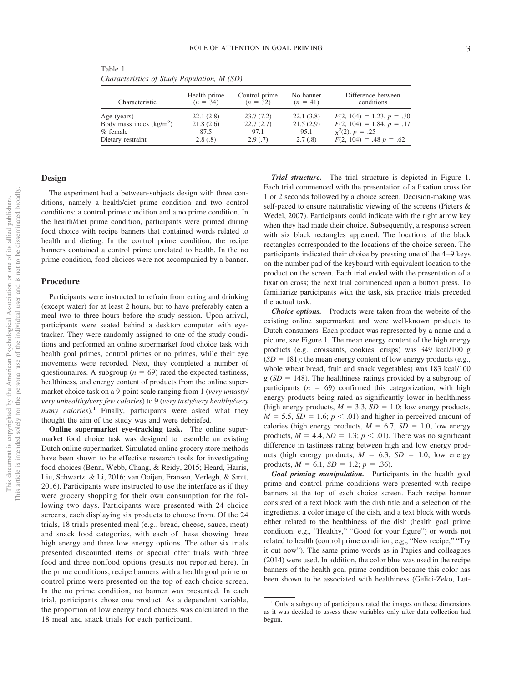Table 1 *Characteristics of Study Population, M (SD)*

| Characteristic            | Health prime | Control prime | No banner  | Difference between          |
|---------------------------|--------------|---------------|------------|-----------------------------|
|                           | $(n = 34)$   | $(n = 32)$    | $(n = 41)$ | conditions                  |
| Age (years)               | 22.1(2.8)    | 23.7(7.2)     | 22.1(3.8)  | $F(2, 104) = 1.23, p = .30$ |
| Body mass index $(kg/m2)$ | 21.8(2.6)    | 22.7(2.7)     | 21.5(2.9)  | $F(2, 104) = 1.84, p = .17$ |
| $%$ female                | 87.5         | 97.1          | 95.1       | $\chi^2(2)$ , $p=.25$       |
| Dietary restraint         | 2.8(.8)      | 2.9(0.7)      | 2.7(.8)    | $F(2, 104) = .48 p = .62$   |

#### **Design**

The experiment had a between-subjects design with three conditions, namely a health/diet prime condition and two control conditions: a control prime condition and a no prime condition. In the health/diet prime condition, participants were primed during food choice with recipe banners that contained words related to health and dieting. In the control prime condition, the recipe banners contained a control prime unrelated to health. In the no prime condition, food choices were not accompanied by a banner.

#### **Procedure**

Participants were instructed to refrain from eating and drinking (except water) for at least 2 hours, but to have preferably eaten a meal two to three hours before the study session. Upon arrival, participants were seated behind a desktop computer with eyetracker. They were randomly assigned to one of the study conditions and performed an online supermarket food choice task with health goal primes, control primes or no primes, while their eye movements were recorded. Next, they completed a number of questionnaires. A subgroup  $(n = 69)$  rated the expected tastiness, healthiness, and energy content of products from the online supermarket choice task on a 9-point scale ranging from 1 (*very untasty/ very unhealthy/very few calories*) to 9 (*very tasty/very healthy/very many calories*).<sup>1</sup> Finally, participants were asked what they thought the aim of the study was and were debriefed.

**Online supermarket eye-tracking task.** The online supermarket food choice task was designed to resemble an existing Dutch online supermarket. Simulated online grocery store methods have been shown to be effective research tools for investigating food choices (Benn, Webb, Chang, & Reidy, 2015; Heard, Harris, Liu, Schwartz, & Li, 2016; van Ooijen, Fransen, Verlegh, & Smit, 2016). Participants were instructed to use the interface as if they were grocery shopping for their own consumption for the following two days. Participants were presented with 24 choice screens, each displaying six products to choose from. Of the 24 trials, 18 trials presented meal (e.g., bread, cheese, sauce, meat) and snack food categories, with each of these showing three high energy and three low energy options. The other six trials presented discounted items or special offer trials with three food and three nonfood options (results not reported here). In the prime conditions, recipe banners with a health goal prime or control prime were presented on the top of each choice screen. In the no prime condition, no banner was presented. In each trial, participants chose one product. As a dependent variable, the proportion of low energy food choices was calculated in the 18 meal and snack trials for each participant.

*Trial structure.* The trial structure is depicted in Figure 1. Each trial commenced with the presentation of a fixation cross for 1 or 2 seconds followed by a choice screen. Decision-making was self-paced to ensure naturalistic viewing of the screens (Pieters & Wedel, 2007). Participants could indicate with the right arrow key when they had made their choice. Subsequently, a response screen with six black rectangles appeared. The locations of the black rectangles corresponded to the locations of the choice screen. The participants indicated their choice by pressing one of the 4 –9 keys on the number pad of the keyboard with equivalent location to the product on the screen. Each trial ended with the presentation of a fixation cross; the next trial commenced upon a button press. To familiarize participants with the task, six practice trials preceded the actual task.

*Choice options.* Products were taken from the website of the existing online supermarket and were well-known products to Dutch consumers. Each product was represented by a name and a picture, see Figure 1. The mean energy content of the high energy products (e.g., croissants, cookies, crisps) was 349 kcal/100 g  $(SD = 181)$ ; the mean energy content of low energy products (e.g., whole wheat bread, fruit and snack vegetables) was 183 kcal/100  $g(SD = 148)$ . The healthiness ratings provided by a subgroup of participants  $(n = 69)$  confirmed this categorization, with high energy products being rated as significantly lower in healthiness (high energy products,  $M = 3.3$ ,  $SD = 1.0$ ; low energy products,  $M = 5.5$ ,  $SD = 1.6$ ;  $p < .01$ ) and higher in perceived amount of calories (high energy products,  $M = 6.7$ ,  $SD = 1.0$ ; low energy products,  $M = 4.4$ ,  $SD = 1.3$ ;  $p < .01$ ). There was no significant difference in tastiness rating between high and low energy products (high energy products,  $M = 6.3$ ,  $SD = 1.0$ ; low energy products,  $M = 6.1$ ,  $SD = 1.2$ ;  $p = .36$ ).

*Goal priming manipulation.* Participants in the health goal prime and control prime conditions were presented with recipe banners at the top of each choice screen. Each recipe banner consisted of a text block with the dish title and a selection of the ingredients, a color image of the dish, and a text block with words either related to the healthiness of the dish (health goal prime condition, e.g., "Healthy," "Good for your figure") or words not related to health (control prime condition, e.g., "New recipe," "Try it out now"). The same prime words as in Papies and colleagues (2014) were used. In addition, the color blue was used in the recipe banners of the health goal prime condition because this color has been shown to be associated with healthiness (Gelici-Zeko, Lut-

<sup>&</sup>lt;sup>1</sup> Only a subgroup of participants rated the images on these dimensions as it was decided to assess these variables only after data collection had begun.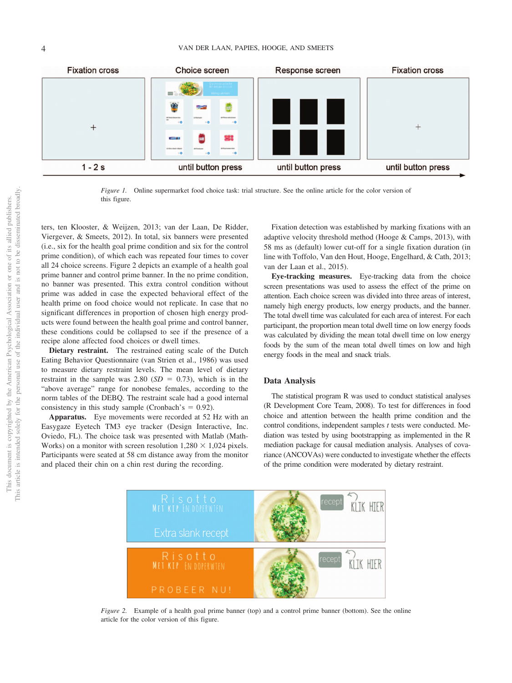

*Figure 1.* Online supermarket food choice task: trial structure. See the online article for the color version of this figure.

ters, ten Klooster, & Weijzen, 2013; van der Laan, De Ridder, Viergever, & Smeets, 2012). In total, six banners were presented (i.e., six for the health goal prime condition and six for the control prime condition), of which each was repeated four times to cover all 24 choice screens. Figure 2 depicts an example of a health goal prime banner and control prime banner. In the no prime condition, no banner was presented. This extra control condition without prime was added in case the expected behavioral effect of the health prime on food choice would not replicate. In case that no significant differences in proportion of chosen high energy products were found between the health goal prime and control banner, these conditions could be collapsed to see if the presence of a recipe alone affected food choices or dwell times.

**Dietary restraint.** The restrained eating scale of the Dutch Eating Behavior Questionnaire (van Strien et al., 1986) was used to measure dietary restraint levels. The mean level of dietary restraint in the sample was  $2.80$  ( $SD = 0.73$ ), which is in the "above average" range for nonobese females, according to the norm tables of the DEBQ. The restraint scale had a good internal consistency in this study sample (Cronbach's  $= 0.92$ ).

**Apparatus.** Eye movements were recorded at 52 Hz with an Easygaze Eyetech TM3 eye tracker (Design Interactive, Inc. Oviedo, FL). The choice task was presented with Matlab (Math-Works) on a monitor with screen resolution  $1,280 \times 1,024$  pixels. Participants were seated at 58 cm distance away from the monitor and placed their chin on a chin rest during the recording.

Fixation detection was established by marking fixations with an adaptive velocity threshold method (Hooge & Camps, 2013), with 58 ms as (default) lower cut-off for a single fixation duration (in line with Toffolo, Van den Hout, Hooge, Engelhard, & Cath, 2013; van der Laan et al., 2015).

**Eye-tracking measures.** Eye-tracking data from the choice screen presentations was used to assess the effect of the prime on attention. Each choice screen was divided into three areas of interest, namely high energy products, low energy products, and the banner. The total dwell time was calculated for each area of interest. For each participant, the proportion mean total dwell time on low energy foods was calculated by dividing the mean total dwell time on low energy foods by the sum of the mean total dwell times on low and high energy foods in the meal and snack trials.

#### **Data Analysis**

The statistical program R was used to conduct statistical analyses (R Development Core Team, 2008). To test for differences in food choice and attention between the health prime condition and the control conditions, independent samples *t* tests were conducted. Mediation was tested by using bootstrapping as implemented in the R mediation package for causal mediation analysis. Analyses of covariance (ANCOVAs) were conducted to investigate whether the effects of the prime condition were moderated by dietary restraint.



*Figure 2.* Example of a health goal prime banner (top) and a control prime banner (bottom). See the online article for the color version of this figure.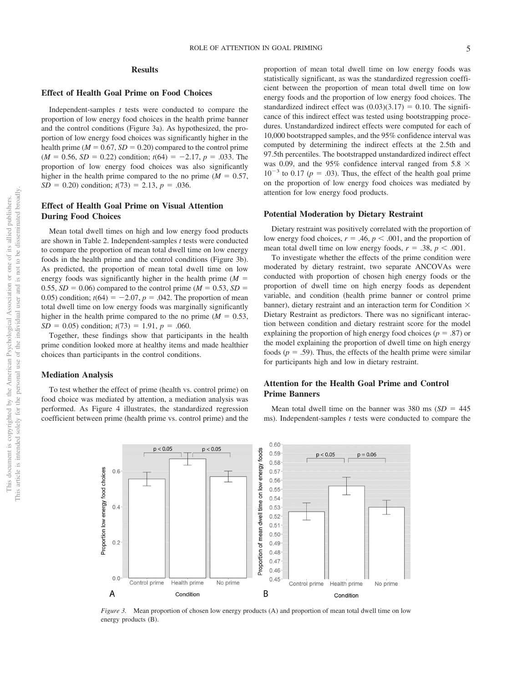#### **Results**

#### **Effect of Health Goal Prime on Food Choices**

Independent-samples *t* tests were conducted to compare the proportion of low energy food choices in the health prime banner and the control conditions (Figure 3a). As hypothesized, the proportion of low energy food choices was significantly higher in the health prime ( $M = 0.67$ ,  $SD = 0.20$ ) compared to the control prime  $(M = 0.56, SD = 0.22)$  condition;  $t(64) = -2.17, p = .033$ . The proportion of low energy food choices was also significantly higher in the health prime compared to the no prime  $(M = 0.57)$ ,  $SD = 0.20$  condition;  $t(73) = 2.13$ ,  $p = .036$ .

#### **Effect of Health Goal Prime on Visual Attention During Food Choices**

Mean total dwell times on high and low energy food products are shown in Table 2. Independent-samples *t* tests were conducted to compare the proportion of mean total dwell time on low energy foods in the health prime and the control conditions (Figure 3b). As predicted, the proportion of mean total dwell time on low energy foods was significantly higher in the health prime  $(M =$ 0.55,  $SD = 0.06$ ) compared to the control prime ( $M = 0.53$ ,  $SD =$ 0.05) condition;  $t(64) = -2.07$ ,  $p = .042$ . The proportion of mean total dwell time on low energy foods was marginally significantly higher in the health prime compared to the no prime  $(M = 0.53,$  $SD = 0.05$ ) condition;  $t(73) = 1.91$ ,  $p = .060$ .

Together, these findings show that participants in the health prime condition looked more at healthy items and made healthier choices than participants in the control conditions.

#### **Mediation Analysis**

To test whether the effect of prime (health vs. control prime) on food choice was mediated by attention, a mediation analysis was performed. As Figure 4 illustrates, the standardized regression coefficient between prime (health prime vs. control prime) and the

proportion of mean total dwell time on low energy foods was statistically significant, as was the standardized regression coefficient between the proportion of mean total dwell time on low energy foods and the proportion of low energy food choices. The standardized indirect effect was  $(0.03)(3.17) = 0.10$ . The significance of this indirect effect was tested using bootstrapping procedures. Unstandardized indirect effects were computed for each of 10,000 bootstrapped samples, and the 95% confidence interval was computed by determining the indirect effects at the 2.5th and 97.5th percentiles. The bootstrapped unstandardized indirect effect was 0.09, and the 95% confidence interval ranged from 5.8  $\times$  $10^{-3}$  to 0.17 ( $p = .03$ ). Thus, the effect of the health goal prime on the proportion of low energy food choices was mediated by attention for low energy food products.

#### **Potential Moderation by Dietary Restraint**

Dietary restraint was positively correlated with the proportion of low energy food choices,  $r = .46$ ,  $p < .001$ , and the proportion of mean total dwell time on low energy foods,  $r = .38$ ,  $p < .001$ .

To investigate whether the effects of the prime condition were moderated by dietary restraint, two separate ANCOVAs were conducted with proportion of chosen high energy foods or the proportion of dwell time on high energy foods as dependent variable, and condition (health prime banner or control prime banner), dietary restraint and an interaction term for Condition  $\times$ Dietary Restraint as predictors. There was no significant interaction between condition and dietary restraint score for the model explaining the proportion of high energy food choices ( $p = .87$ ) or the model explaining the proportion of dwell time on high energy foods  $(p = .59)$ . Thus, the effects of the health prime were similar for participants high and low in dietary restraint.

#### **Attention for the Health Goal Prime and Control Prime Banners**

Mean total dwell time on the banner was  $380 \text{ ms } (SD = 445)$ ms). Independent-samples *t* tests were conducted to compare the



*Figure 3.* Mean proportion of chosen low energy products (A) and proportion of mean total dwell time on low energy products (B).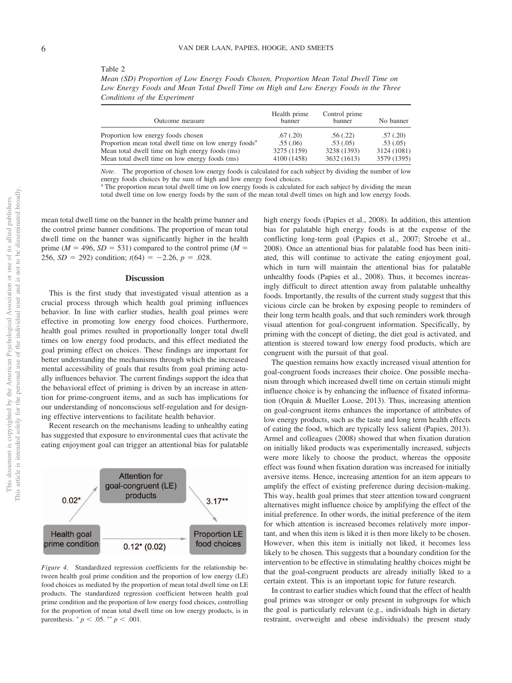Table 2

*Mean (SD) Proportion of Low Energy Foods Chosen, Proportion Mean Total Dwell Time on Low Energy Foods and Mean Total Dwell Time on High and Low Energy Foods in the Three Conditions of the Experiment*

| Outcome measure                                                   | Health prime<br>banner | Control prime<br>banner | No banner   |
|-------------------------------------------------------------------|------------------------|-------------------------|-------------|
| Proportion low energy foods chosen                                | .67(.20)               | .56(.22)                | .57(.20)    |
| Proportion mean total dwell time on low energy foods <sup>a</sup> | .55(0.06)              | .53(0.05)               | .53(0.05)   |
| Mean total dwell time on high energy foods (ms)                   | 3275 (1159)            | 3238 (1393)             | 3124 (1081) |
| Mean total dwell time on low energy foods (ms)                    | 4100 (1458)            | 3632 (1613)             | 3579 (1395) |

*Note*. The proportion of chosen low energy foods is calculated for each subject by dividing the number of low energy foods choices by the sum of high and low energy food choices.

a The proportion mean total dwell time on low energy foods is calculated for each subject by dividing the mean total dwell time on low energy foods by the sum of the mean total dwell times on high and low energy foods.

mean total dwell time on the banner in the health prime banner and the control prime banner conditions. The proportion of mean total dwell time on the banner was significantly higher in the health prime ( $M = 496$ ,  $SD = 531$ ) compared to the control prime ( $M =$ 256, *SD* = 292) condition;  $t(64) = -2.26$ ,  $p = .028$ .

#### **Discussion**

This is the first study that investigated visual attention as a crucial process through which health goal priming influences behavior. In line with earlier studies, health goal primes were effective in promoting low energy food choices. Furthermore, health goal primes resulted in proportionally longer total dwell times on low energy food products, and this effect mediated the goal priming effect on choices. These findings are important for better understanding the mechanisms through which the increased mental accessibility of goals that results from goal priming actually influences behavior. The current findings support the idea that the behavioral effect of priming is driven by an increase in attention for prime-congruent items, and as such has implications for our understanding of nonconscious self-regulation and for designing effective interventions to facilitate health behavior.

Recent research on the mechanisms leading to unhealthy eating has suggested that exposure to environmental cues that activate the eating enjoyment goal can trigger an attentional bias for palatable



*Figure 4.* Standardized regression coefficients for the relationship between health goal prime condition and the proportion of low energy (LE) food choices as mediated by the proportion of mean total dwell time on LE products. The standardized regression coefficient between health goal prime condition and the proportion of low energy food choices, controlling for the proportion of mean total dwell time on low energy products, is in parenthesis.  $p < .05$ .  $p < .001$ .

high energy foods (Papies et al., 2008). In addition, this attention bias for palatable high energy foods is at the expense of the conflicting long-term goal (Papies et al., 2007; Stroebe et al., 2008). Once an attentional bias for palatable food has been initiated, this will continue to activate the eating enjoyment goal, which in turn will maintain the attentional bias for palatable unhealthy foods (Papies et al., 2008). Thus, it becomes increasingly difficult to direct attention away from palatable unhealthy foods. Importantly, the results of the current study suggest that this vicious circle can be broken by exposing people to reminders of their long term health goals, and that such reminders work through visual attention for goal-congruent information. Specifically, by priming with the concept of dieting, the diet goal is activated, and attention is steered toward low energy food products, which are congruent with the pursuit of that goal.

The question remains how exactly increased visual attention for goal-congruent foods increases their choice. One possible mechanism through which increased dwell time on certain stimuli might influence choice is by enhancing the influence of fixated information (Orquin & Mueller Loose, 2013). Thus, increasing attention on goal-congruent items enhances the importance of attributes of low energy products, such as the taste and long term health effects of eating the food, which are typically less salient (Papies, 2013). Armel and colleagues (2008) showed that when fixation duration on initially liked products was experimentally increased, subjects were more likely to choose the product, whereas the opposite effect was found when fixation duration was increased for initially aversive items. Hence, increasing attention for an item appears to amplify the effect of existing preference during decision-making. This way, health goal primes that steer attention toward congruent alternatives might influence choice by amplifying the effect of the initial preference. In other words, the initial preference of the item for which attention is increased becomes relatively more important, and when this item is liked it is then more likely to be chosen. However, when this item is initially not liked, it becomes less likely to be chosen. This suggests that a boundary condition for the intervention to be effective in stimulating healthy choices might be that the goal-congruent products are already initially liked to a certain extent. This is an important topic for future research.

In contrast to earlier studies which found that the effect of health goal primes was stronger or only present in subgroups for which the goal is particularly relevant (e.g., individuals high in dietary restraint, overweight and obese individuals) the present study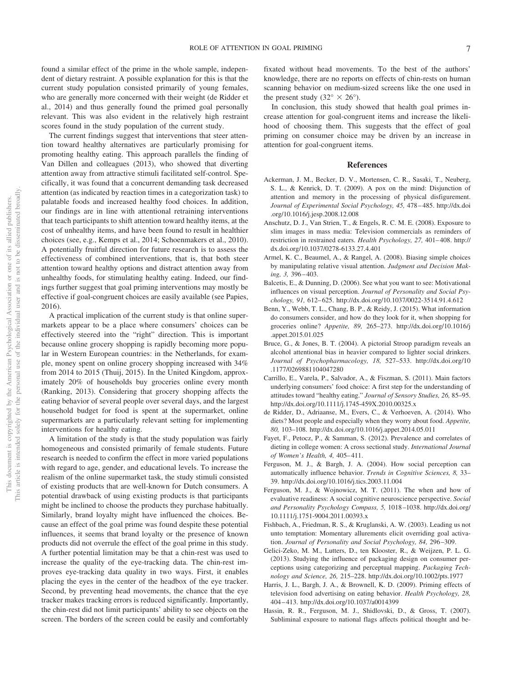found a similar effect of the prime in the whole sample, independent of dietary restraint. A possible explanation for this is that the current study population consisted primarily of young females, who are generally more concerned with their weight (de Ridder et al., 2014) and thus generally found the primed goal personally relevant. This was also evident in the relatively high restraint scores found in the study population of the current study.

The current findings suggest that interventions that steer attention toward healthy alternatives are particularly promising for promoting healthy eating. This approach parallels the finding of Van Dillen and colleagues (2013), who showed that diverting attention away from attractive stimuli facilitated self-control. Specifically, it was found that a concurrent demanding task decreased attention (as indicated by reaction times in a categorization task) to palatable foods and increased healthy food choices. In addition, our findings are in line with attentional retraining interventions that teach participants to shift attention toward healthy items, at the cost of unhealthy items, and have been found to result in healthier choices (see, e.g., Kemps et al., 2014; Schoenmakers et al., 2010). A potentially fruitful direction for future research is to assess the effectiveness of combined interventions, that is, that both steer attention toward healthy options and distract attention away from unhealthy foods, for stimulating healthy eating. Indeed, our findings further suggest that goal priming interventions may mostly be effective if goal-congruent choices are easily available (see Papies, 2016).

A practical implication of the current study is that online supermarkets appear to be a place where consumers' choices can be effectively steered into the "right" direction. This is important because online grocery shopping is rapidly becoming more popular in Western European countries: in the Netherlands, for example, money spent on online grocery shopping increased with 34% from 2014 to 2015 (Thuij, 2015). In the United Kingdom, approximately 20% of households buy groceries online every month (Ranking, 2013). Considering that grocery shopping affects the eating behavior of several people over several days, and the largest household budget for food is spent at the supermarket, online supermarkets are a particularly relevant setting for implementing interventions for healthy eating.

A limitation of the study is that the study population was fairly homogeneous and consisted primarily of female students. Future research is needed to confirm the effect in more varied populations with regard to age, gender, and educational levels. To increase the realism of the online supermarket task, the study stimuli consisted of existing products that are well-known for Dutch consumers. A potential drawback of using existing products is that participants might be inclined to choose the products they purchase habitually. Similarly, brand loyalty might have influenced the choices. Because an effect of the goal prime was found despite these potential influences, it seems that brand loyalty or the presence of known products did not overrule the effect of the goal prime in this study. A further potential limitation may be that a chin-rest was used to increase the quality of the eye-tracking data. The chin-rest improves eye-tracking data quality in two ways. First, it enables placing the eyes in the center of the headbox of the eye tracker. Second, by preventing head movements, the chance that the eye tracker makes tracking errors is reduced significantly. Importantly, the chin-rest did not limit participants' ability to see objects on the screen. The borders of the screen could be easily and comfortably

fixated without head movements. To the best of the authors' knowledge, there are no reports on effects of chin-rests on human scanning behavior on medium-sized screens like the one used in the present study (32 $\degree \times$  26 $\degree$ ).

In conclusion, this study showed that health goal primes increase attention for goal-congruent items and increase the likelihood of choosing them. This suggests that the effect of goal priming on consumer choice may be driven by an increase in attention for goal-congruent items.

#### **References**

- Ackerman, J. M., Becker, D. V., Mortensen, C. R., Sasaki, T., Neuberg, S. L., & Kenrick, D. T. (2009). A pox on the mind: Disjunction of attention and memory in the processing of physical disfigurement. *Journal of Experimental Social Psychology, 45,* 478 – 485. http://dx.doi .org/10.1016/j.jesp.2008.12.008
- Anschutz, D. J., Van Strien, T., & Engels, R. C. M. E. (2008). Exposure to slim images in mass media: Television commercials as reminders of restriction in restrained eaters. *Health Psychology, 27, 401-408*. http:// dx.doi.org/10.1037/0278-6133.27.4.401
- Armel, K. C., Beaumel, A., & Rangel, A. (2008). Biasing simple choices by manipulating relative visual attention. *Judgment and Decision Making, 3,* 396 – 403.
- Balcetis, E., & Dunning, D. (2006). See what you want to see: Motivational influences on visual perception. *Journal of Personality and Social Psychology, 91,* 612– 625. http://dx.doi.org/10.1037/0022-3514.91.4.612
- Benn, Y., Webb, T. L., Chang, B. P., & Reidy, J. (2015). What information do consumers consider, and how do they look for it, when shopping for groceries online? *Appetite, 89,* 265–273. http://dx.doi.org/10.1016/j .appet.2015.01.025
- Bruce, G., & Jones, B. T. (2004). A pictorial Stroop paradigm reveals an alcohol attentional bias in heavier compared to lighter social drinkers. *Journal of Psychopharmacology, 18,* 527–533. http://dx.doi.org/10 .1177/0269881104047280
- Carrillo, E., Varela, P., Salvador, A., & Fiszman, S. (2011). Main factors underlying consumers' food choice: A first step for the understanding of attitudes toward "healthy eating." *Journal of Sensory Studies, 26,* 85–95. http://dx.doi.org/10.1111/j.1745-459X.2010.00325.x
- de Ridder, D., Adriaanse, M., Evers, C., & Verhoeven, A. (2014). Who diets? Most people and especially when they worry about food. *Appetite, 80,* 103–108. http://dx.doi.org/10.1016/j.appet.2014.05.011
- Fayet, F., Petocz, P., & Samman, S. (2012). Prevalence and correlates of dieting in college women: A cross sectional study. *International Journal of Women's Health, 4,* 405– 411.
- Ferguson, M. J., & Bargh, J. A. (2004). How social perception can automatically influence behavior. *Trends in Cognitive Sciences, 8,* 33– 39. http://dx.doi.org/10.1016/j.tics.2003.11.004
- Ferguson, M. J., & Wojnowicz, M. T. (2011). The when and how of evaluative readiness: A social cognitive neuroscience perspective. *Social and Personality Psychology Compass, 5,* 1018 –1038. http://dx.doi.org/ 10.1111/j.1751-9004.2011.00393.x
- Fishbach, A., Friedman, R. S., & Kruglanski, A. W. (2003). Leading us not unto temptation: Momentary allurements elicit overriding goal activation. *Journal of Personality and Social Psychology, 84,* 296 –309.
- Gelici-Zeko, M. M., Lutters, D., ten Klooster, R., & Weijzen, P. L. G. (2013). Studying the influence of packaging design on consumer perceptions using categorizing and perceptual mapping. *Packaging Technology and Science, 26,* 215–228. http://dx.doi.org/10.1002/pts.1977
- Harris, J. L., Bargh, J. A., & Brownell, K. D. (2009). Priming effects of television food advertising on eating behavior. *Health Psychology, 28,* 404 – 413. http://dx.doi.org/10.1037/a0014399
- Hassin, R. R., Ferguson, M. J., Shidlovski, D., & Gross, T. (2007). Subliminal exposure to national flags affects political thought and be-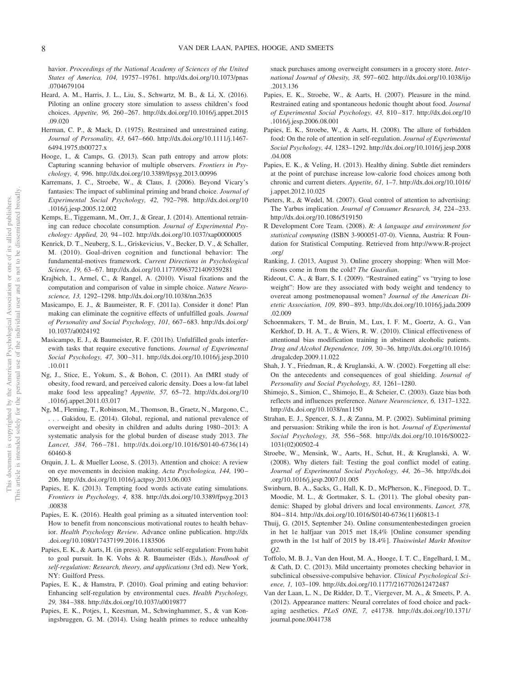havior. *Proceedings of the National Academy of Sciences of the United States of America, 104,* 19757–19761. http://dx.doi.org/10.1073/pnas .0704679104

- Heard, A. M., Harris, J. L., Liu, S., Schwartz, M. B., & Li, X. (2016). Piloting an online grocery store simulation to assess children's food choices. *Appetite, 96,* 260 –267. http://dx.doi.org/10.1016/j.appet.2015 .09.020
- Herman, C. P., & Mack, D. (1975). Restrained and unrestrained eating. *Journal of Personality, 43,* 647– 660. http://dx.doi.org/10.1111/j.1467- 6494.1975.tb00727.x
- Hooge, I., & Camps, G. (2013). Scan path entropy and arrow plots: Capturing scanning behavior of multiple observers. *Frontiers in Psychology, 4,* 996. http://dx.doi.org/10.3389/fpsyg.2013.00996
- Karremans, J. C., Stroebe, W., & Claus, J. (2006). Beyond Vicary's fantasies: The impact of subliminal priming and brand choice. *Journal of Experimental Social Psychology, 42,* 792–798. http://dx.doi.org/10 .1016/j.jesp.2005.12.002
- Kemps, E., Tiggemann, M., Orr, J., & Grear, J. (2014). Attentional retraining can reduce chocolate consumption. *Journal of Experimental Psychology: Applied, 20,* 94 –102. http://dx.doi.org/10.1037/xap0000005
- Kenrick, D. T., Neuberg, S. L., Griskevicius, V., Becker, D. V., & Schaller, M. (2010). Goal-driven cognition and functional behavior: The fundamental-motives framework. *Current Directions in Psychological Science, 19,* 63– 67. http://dx.doi.org/10.1177/0963721409359281
- Krajbich, I., Armel, C., & Rangel, A. (2010). Visual fixations and the computation and comparison of value in simple choice. *Nature Neuroscience, 13,* 1292–1298. http://dx.doi.org/10.1038/nn.2635
- Masicampo, E. J., & Baumeister, R. F. (2011a). Consider it done! Plan making can eliminate the cognitive effects of unfulfilled goals. *Journal of Personality and Social Psychology, 101,* 667– 683. http://dx.doi.org/ 10.1037/a0024192
- Masicampo, E. J., & Baumeister, R. F. (2011b). Unfulfilled goals interferewith tasks that require executive functions. *Journal of Experimental Social Psychology, 47,* 300 –311. http://dx.doi.org/10.1016/j.jesp.2010 .10.011
- Ng, J., Stice, E., Yokum, S., & Bohon, C. (2011). An fMRI study of obesity, food reward, and perceived caloric density. Does a low-fat label make food less appealing? *Appetite, 57,* 65–72. http://dx.doi.org/10 .1016/j.appet.2011.03.017
- Ng, M., Fleming, T., Robinson, M., Thomson, B., Graetz, N., Margono, C., . . . Gakidou, E. (2014). Global, regional, and national prevalence of overweight and obesity in children and adults during 1980 –2013: A systematic analysis for the global burden of disease study 2013. *The Lancet, 384,* 766 –781. http://dx.doi.org/10.1016/S0140-6736(14) 60460-8
- Orquin, J. L. & Mueller Loose, S. (2013). Attention and choice: A review on eye movements in decision making. *Acta Psychologica, 144,* 190 – 206. http://dx.doi.org/10.1016/j.actpsy.2013.06.003
- Papies, E. K. (2013). Tempting food words activate eating simulations. *Frontiers in Psychology, 4,* 838. http://dx.doi.org/10.3389/fpsyg.2013 .00838
- Papies, E. K. (2016). Health goal priming as a situated intervention tool: How to benefit from nonconscious motivational routes to health behavior. *Health Psychology Review*. Advance online publication. http://dx .doi.org/10.1080/17437199.2016.1183506
- Papies, E. K., & Aarts, H. (in press). Automatic self-regulation: From habit to goal pursuit. In K. Vohs & R. Baumeister (Eds.), *Handbook of self-regulation: Research, theory, and applications* (3rd ed). New York, NY: Guilford Press.
- Papies, E. K., & Hamstra, P. (2010). Goal priming and eating behavior: Enhancing self-regulation by environmental cues. *Health Psychology, 29,* 384 –388. http://dx.doi.org/10.1037/a0019877
- Papies, E. K., Potjes, I., Keesman, M., Schwinghammer, S., & van Koningsbruggen, G. M. (2014). Using health primes to reduce unhealthy

snack purchases among overweight consumers in a grocery store. *International Journal of Obesity, 38,* 597– 602. http://dx.doi.org/10.1038/ijo .2013.136

- Papies, E. K., Stroebe, W., & Aarts, H. (2007). Pleasure in the mind. Restrained eating and spontaneous hedonic thought about food. *Journal of Experimental Social Psychology, 43,* 810 – 817. http://dx.doi.org/10 .1016/j.jesp.2006.08.001
- Papies, E. K., Stroebe, W., & Aarts, H. (2008). The allure of forbidden food: On the role of attention in self-regulation. *Journal of Experimental Social Psychology, 44,* 1283–1292. http://dx.doi.org/10.1016/j.jesp.2008 .04.008
- Papies, E. K., & Veling, H. (2013). Healthy dining. Subtle diet reminders at the point of purchase increase low-calorie food choices among both chronic and current dieters. *Appetite, 61,* 1–7. http://dx.doi.org/10.1016/ j.appet.2012.10.025
- Pieters, R., & Wedel, M. (2007). Goal control of attention to advertising: The Yarbus implication. *Journal of Consumer Research, 34,* 224 –233. http://dx.doi.org/10.1086/519150
- R Development Core Team. (2008). *R: A language and environment for statistical computing* (ISBN 3-900051-07-0). Vienna, Austria: R Foundation for Statistical Computing. Retrieved from http://www.R-project .org/
- Ranking, J. (2013, August 3). Online grocery shopping: When will Morrisons come in from the cold? *The Guardian*.
- Rideout, C. A., & Barr, S. I. (2009). "Restrained eating" vs "trying to lose weight": How are they associated with body weight and tendency to overeat among postmenopausal women? *Journal of the American Dietetic Association, 109,* 890 – 893. http://dx.doi.org/10.1016/j.jada.2009 .02.009
- Schoenmakers, T. M., de Bruin, M., Lux, I. F. M., Goertz, A. G., Van Kerkhof, D. H. A. T., & Wiers, R. W. (2010). Clinical effectiveness of attentional bias modification training in abstinent alcoholic patients. *Drug and Alcohol Dependence, 109,* 30 –36. http://dx.doi.org/10.1016/j .drugalcdep.2009.11.022
- Shah, J. Y., Friedman, R., & Kruglanski, A. W. (2002). Forgetting all else: On the antecedents and consequences of goal shielding. *Journal of Personality and Social Psychology, 83,* 1261–1280.
- Shimojo, S., Simion, C., Shimojo, E., & Scheier, C. (2003). Gaze bias both reflects and influences preference. *Nature Neuroscience, 6,* 1317–1322. http://dx.doi.org/10.1038/nn1150
- Strahan, E. J., Spencer, S. J., & Zanna, M. P. (2002). Subliminal priming and persuasion: Striking while the iron is hot. *Journal of Experimental Social Psychology, 38,* 556 –568. http://dx.doi.org/10.1016/S0022- 1031(02)00502-4
- Stroebe, W., Mensink, W., Aarts, H., Schut, H., & Kruglanski, A. W. (2008). Why dieters fail: Testing the goal conflict model of eating. *Journal of Experimental Social Psychology, 44,* 26 –36. http://dx.doi .org/10.1016/j.jesp.2007.01.005
- Swinburn, B. A., Sacks, G., Hall, K. D., McPherson, K., Finegood, D. T., Moodie, M. L., & Gortmaker, S. L. (2011). The global obesity pandemic: Shaped by global drivers and local environments. *Lancet, 378,* 804 – 814. http://dx.doi.org/10.1016/S0140-6736(11)60813-1
- Thuij, G. (2015, September 24). Online consumentenbestedingen groeien in het 1e halfjaar van 2015 met 18,4% [Online consumer spending growth in the 1st half of 2015 by 18.4%]. *Thuiswinkel Markt Monitor Q2*.
- Toffolo, M. B. J., Van den Hout, M. A., Hooge, I. T. C., Engelhard, I. M., & Cath, D. C. (2013). Mild uncertainty promotes checking behavior in subclinical obsessive-compulsive behavior. *Clinical Psychological Science, 1,* 103–109. http://dx.doi.org/10.1177/2167702612472487
- Van der Laan, L. N., De Ridder, D. T., Viergever, M. A., & Smeets, P. A. (2012). Appearance matters: Neural correlates of food choice and packaging aesthetics. *PLoS ONE, 7,* e41738. http://dx.doi.org/10.1371/ journal.pone.0041738